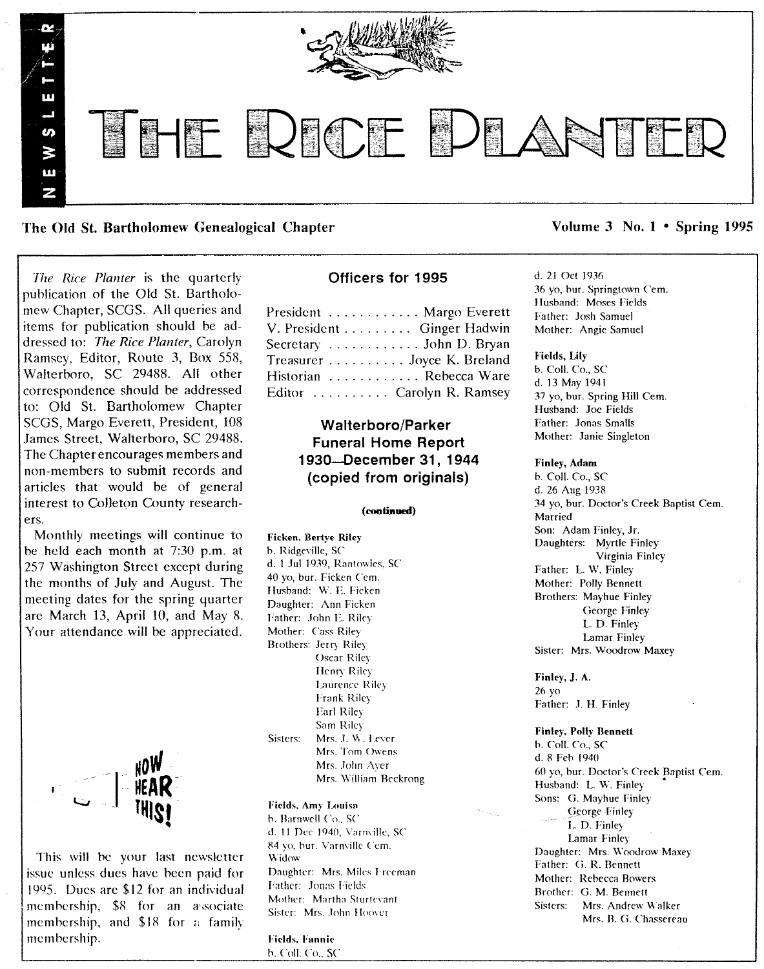

The Old St. Bartholomew Genealogical Chapter Volume 3 No. 1 • Spring 1995

*Ihe Rice Planter* is the quarterly puhlication of the Old St. Bartholomew Chapter, SCGS. All queries and items for publication should be addressed to: *The Rice Planter,* Carolyn Ramsey, Editor, Route 3, Box 558, Walterhoro, SC 29488. All other correspondence should be addressed to: Old St. Bartholomew Chapter SCGS, Margo Everett, President, 108 James Street, Walterboro, SC 29488. The Chapter encourages members and non-members to submit records and articles that would be of general interest to Colleton County researchers.

Monthly meetings will continue to be held each month at 7:30 p.m. at 257 Washington Street except during the months of July and August. The meeting dates for the spring quarter are March 13, April 10, and May 8. Your attendance will be appreciated.



This will be your last newsletter issue unless dues have been paid for 1995. Dues arc \$12 for an individual membership, \$8 for an associate membership, and  $$18$  for a family memhership.

### Officers for 1995

| President  Margo Everett   |
|----------------------------|
| V. President Ginger Hadwin |
| Secretary John D. Bryan    |
| Treasurer Joyce K. Breland |
| Historian  Rebecca Ware    |
| Editor  Carolyn R. Ramsey  |
|                            |

### Walterboro/Parker Funeral Home Report 1930-December 31, 1944 (copied from originals)

### (continued)

Ficken. Bertye Riley b. Ridgeville, SC d. 1 Jul 1939, Rantowles. SC 40 yo, bur. Ficken Cem. Husband: W. E. Ficken Daughter: Ann Ficken Father: John E. Riley Mother: *Cass* Riley Brothers: Jerry Riley Oscar Riley Henry Riley Laurence Riley Frank Riley Earl Riley Sam Riley Sisters: Mrs. J. W. Lever Mrs. Tom Owens Mrs. John Ayer Mrs. William Beckrong

### Fields, Amy Louisa

b. Barnwell Co., SC d. 11 Dec 1940, Varmille, SC R4 yo, hur. Varn\'ille Cem. Widow Daughter: Mrs. Miles I-reeman Father: Jonas Fields Mother: Martha Sturtevant Sister: Mrs. John Hoover

Fields. Fannie b. Coll. Co., SC

### d. 21 Oct 1936 36 yo, bur. Springtown Cem.

Ilusband: Moses Fields Father: Josh Samuel Mother: Angie Samuel

#### Fields, Lily

b. Call. Co., SC d. 13 May 1941 37 yo, bur. Spring Hill Cem. Husband: Joe Fields Father: Jonas Smalls Mother: Janie Singleton

### Finley, Adam

b. Coil. Co., SC d. 26 Aug 1938 34 yo, bur. Doctor's Creek Baptist Cern. Married Son: Adam Finley, Jr. Daughters: Myrtle Finley Virginia Finley Father: L. W. Finley Mother: Polly Bennett Brothers: Mayhue Finley George Finley L. D, Finley Lamar Finley Sister: Mrs. Woodrow Maxey

Finley, J. A. 26 yo Father: J. H. Finley

Finley, Polly Bennett b. Coll. Co., SC d.8 Feh 1940 60 yo, bur. Doctor's Creek Baptist Cern, Husband: L. W. Finley Sons: G, Mayhue Finley George-Finley I.. D. Finley Lamar Finley Daughter: Mrs. Woodrow Maxey Father: G. R. Bennett Mother: Rebecca Bowers Brother: G. M. Bennett Sisters: Mrs. Andrew Walker Mrs. B. G. Chassereau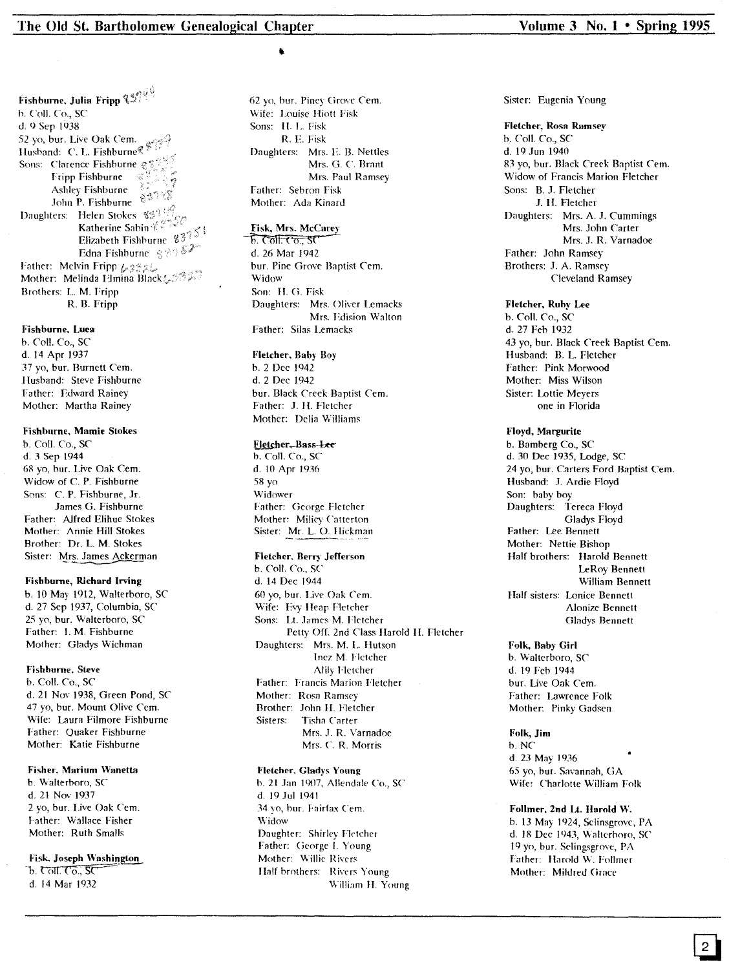Fishburne. Julia Fripp  $\mathbb{C}^{s \wedge \mathbb{C}^{(1)}_+}$ b, Coll. Co., SC d, 9 Sep 1938 52 yo. bur. Live Oak *Cern,* Ilusband: C. L. Fishburne'!: Sons: Clarence Fishburne  $\mathcal{L}^{\text{exp}}$ Fripp Fishburne  $\frac{d^2\bar{d}^2}{d\bar{d}^2}$ <br>Ashley Fishburne Ashley Fishburn<br>John P. Fishburi Daughters: Helen Stokes 829 Katherine Sabin & 22 Elizabeth Fishburne  $8\sqrt[3]{5}$ Edna Fishburne 33357 Father: Melvin Fripp  $L322$ Mother: Melinda Elmina Black& 332. Brothers: L M, Fripp R, B. Fripp

#### Fishburne. Luea

b. Coll. Co., SC d, 14 Apr 1937 37 yo, bur. Burnett Cern, Husband: Steve Fishburne Father: Edward Rainey Mother: Martha Rainey

### Fishburne. Mamie Stokes

b. CoIL Co., SC d. 3 Sep 1944 68 yo, bur. Live Oak Cern. Widow of C. P. Fishburne Sons: C. P. Fishburne, Jr. James G. Fishburne Father: Alfred Elihue Stokes Mother: Annie Hill Stokes Brother: Dr. L. M. Stokes Sister: Mrs. James Ackerman

### Fishburne, Richard Irving

b. 10 May 1912, Walterboro, SC d. 27 Sep 1937, Columbia, SC 25 yo, bur. Walterboro, SC Father: I. M. Fishburne Mother: Gladys Wichman

### Fishhurne. Steve

b. Call. Co., SC d. 21 No\' 1938, Green Pond, *SC* 47 yo, bur. Mount Olive Cern. Wife: Laura Filmore Fishburne Father: Quaker Fishburne Mother: Katie Fishburne

### Fisher. Marium Wanetta

b, Walterboro, *SC* d. 21 Nov 1937 2 yo, bur. Live Oak Cem. f'ather: Wallace Fisher Mother: Ruth Smalls

# Fisk. Joseph Washing<br>b. Coll. Co., SC

d, 14 Mar 1932

62 yo, bur. Piney Grove *Cern.* Wife: Louise Hiott Fisk Sons: II. L. Fisk R. E. Fisk Daughters: Mrs. E B. Nettles Mrs. G. C. Brant Mrs. Paul Ramsey Father: Sebron Fisk Mother: Ada Kinard

### Fisk, Mrs. McCarey

 $\overline{b}$ . তো<del>! তে., s</del>t' d. 26 Mar 1942 bur. Pine Grove Baptist Cem. Widow Son: H, Ci. Fisk Daughters: Mrs. Oliver I.emacks Mrs. Fdision Walton Father: Silas I.emacks

### Fletcher, Bahy Boy

b. 2 Dec 1942 d. 2 Dec 1942 bur. Black Creek Baptist Cem. Father: J. H. Fletcher Mother: Delia Williams

### Eletcher, Bass-Lee

b. Coil. Co., SC d. 10 Apr 1936 58 yo Widower Father: George Fletcher Mother: Miliey Catterton Sister: Mr. L. O. Hickman

### Fletcher. Berry' Jefferson

b. ColI. Co., SC d. 14 Dec 1944 60 yo, bur. Live Oak Cern. Wife: Evy Heap Fletcher Sons: Lt. James M. Fletcher Petty Off. 2nd Class Harold II. Fletcher Daughters: Mrs. M, L Hutson Inez M. f'letcher Alily Hetcher Father: Francis Marion Fletcher Mother: Rosa Ramsey Brother: John 1L Fletcher Sisters: Tisha Carter Mrs. J. R. Varnadoe Mrs. C. R, Morris

### Fletcher. Gladys Young

b. 21 Jan 1907, Allendale Co., SC d. 19 Jul 1941 34 vo, bur. Fairfax Cem. Widow Daughter: Shirley Fletcher Father: George I. Young Mother: Willie Rivers Half brothers: Rivers Young William II. Young

### Sister: Eugenia Young

#### Fletcher, Rosa Ramsey

b. ColI. Co., *SC* d. 19.1un 1940 83 yo, bur. Black Creek Baptist *Cern.* Widow of Francis Marion Fletcher Sons: B..I. Fletcher .I. H. Fletcher Daughters: Mrs. A. J. Cummings Mrs. John Carter Mrs. J. R. Varnadoe Father: John Ramsey Brothers: J. A. Ramsey Cleveland Ramsey

### Fletcher, Ruhy Lee

b. Coil. Co., SC d. 27 Feh 1932 43 yo, bur. Black Creek Baptist Cem. Husband: B. L. Fletcher Father: Pink Morwood Mother: Miss Wilson Sister: Lottie Meyers one in Florida

#### Floyd, Margurite

b. Bamberg Co., SC d, 30 Dec 1935, Lodge, SC 24 yo, bur. Carters Ford Baptist Cem. Husband: J. Ardie Floyd Son: baby boy Daughters: Tereca Floyd Gladys Floyd Father: Lee Bennett Mother: Nettie Bishop Half brothers: Harold Bennett LeRoy Bennett William Bennett Half sisters: Lonice Bennett Alonize Bennett Gladys Bennett

Folk, Baby Girl b. Walterboro, *SC* d. 19 Feb 1944 bur. Live Oak Cem. Father: Lawrence Folk Mother: Pinky Gadsen

Folk, Jim b. NC d. 23 May 1936 65 yo, bur. Savannah, CiA Wife: Charlotte William Folk

### Follmer. 2nd Lt. Harold W. b. 13 May 1924, Selinsgrove, PA d. 18 Dec 1943, Walterboro, SC 19 yo, bur. Selingsgrove, pA Father: Harold W. Follmer Mother: Mildred Grace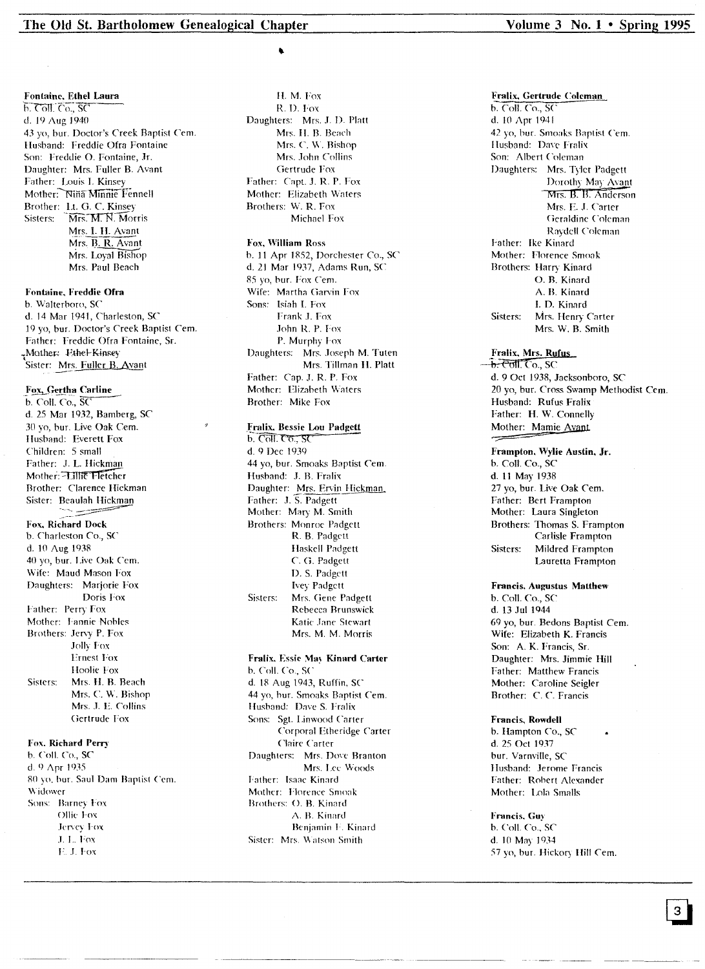Fontaine, Ethel Laura

 $h.$  Coll. Co.,  $SC$ d. 19 Aug 1940 43 vo. bur. Doctor's Creek Baptist Cem. Husband: Freddie Ofra Fontaine Son: Freddie O. Fontaine, Jr. Daughter: Mrs. Fuller B. Avant Father: Louis I. Kinsey Mother: Niña Minnie Fennell Brother: Lt. G. C. Kinsey Mrs. M. N. Motris Sisters: Mrs. I. H. Avant Mrs. B. R. Avant Mrs. Loyal Bishop Mrs. Paul Beach

Fontaine, Freddie Ofra

b. Walterboro, SC d. 14 Mar 1941, Charleston, SC 19 yo, bur. Doctor's Creek Baptist Cem. Father: Freddie Ofra Fontaine, Sr. Mother: Ethel-Kinsey Sister: Mrs. Fuller B. Avant

Fox, Gertha Carline

b. Coll. Co., SC d. 25 Mar 1932, Bamberg, SC 30 yo, bur. Live Oak Cem. Husband: Everett Fox Children: 5 small Father: J. L. Hickman Mother: 711116 Fletcher Brother: Clarence Hickman Sister: Beaulah Hickman Fox, Richard Dock b. Charleston Co., SC d. 10 Aug 1938 40 yo, bur. Live Oak Cem. Wife: Maud Mason Fox Daughters: Marjorie Fox Doris Fox Father: Perry Fox Mother: Fannie Nobles Brothers: Jervy P. Fox Jolly Fox **Ernest Fox** Hoolie Fox Sisters: Mrs. H. B. Beach Mrs. C. W. Bishop Mrs. J. E. Collins Gertrude Fox

### Fox. Richard Perry

b. Coll. Co., SC d. 9  $\Delta$ pr 1935 80 yo, bur. Saul Dam Baptist Cem. Widower Sons: Barney Fox Ollie Fox Jervey Fox J. L. Fox E.J. Fox

H. M. Fox R.D. Fox Daughters: Mrs. J. D. Platt Mrs. H. B. Beach Mrs. C. W. Bishop Mrs. John Collins Gertrude Fox Father: Capt. J. R. P. Fox Mother: Elizabeth Waters Brothers: W. R. Fox Michael Fox

### Fox, William Ross

b. 11 Apr 1852, Dorchester Co., SC d. 21 Mar 1937, Adams Run, SC 85 yo, bur. Fox Cem. Wife: Martha Garvin Fox Sons: Isiah I. Fox Frank J. Fox John R. P. Fox P. Murphy Fox Daughters: Mrs. Joseph M. Tuten Mrs. Tillman H. Platt Father: Cap. J. R. P. Fox Mother: Elizabeth Waters Brother: Mike Fox

### Fralix, Bessie Lou Padgett

 $b.$  Coll  $C\sigma$ ,  $SC$ d. 9 Dec 1939 44 yo, bur. Smoaks Baptist Cem. Husband: J. B. Fralix Daughter: Mrs. Ervin Hickman, Father: J. S. Padgett Mother: Mary M. Smith Brothers: Monroe Padgett R. B. Padgett Haskell Padgett C. G. Padgett D. S. Padgett **Ivey Padgett** Sisters: Mrs. Gene Padgett Rebecca Brunswick Katic Jane Stewart Mrs. M. M. Morris

### Fralix, Essie May Kinard Carter b. Coll. Co., SC

d. 18 Aug 1943, Ruffin, SC 44 yo, bur. Smoaks Baptist Cem. Husband: Dave S. Fralix Sons: Sgt. Linwood Carter Corporal Etheridge Carter Claire Carter Daughters: Mrs. Dove Branton Mrs. Lee Woods Father: Isaac Kinard Mother: Florence Smoak Brothers: O. B. Kinard A. B. Kinard Benjamin F. Kinard Sister: Mrs. Watson Smith

Fralix, Gertrude Coleman b. Coll. Co., SC d. 10 Apr 1941 42 vo, bur. Smoaks Baptist Cem. Husband: Dave Fralix Son: Albert Coleman Daughters: Mrs. Tyler Padgett Dorothy May Avant Mrs. B. B. Anderson Mrs. E. J. Carter Geraldine Coleman Raydell Coleman Father: Ike Kinard Mother: Florence Smoak Brothers: Harry Kinard O. B. Kinard A. B. Kinard I. D. Kinard Sisters: Mrs. Henry Carter Mrs. W. B. Smith

Fralix, Mrs. Rufus <del>-b. Coll. C</del>o., SC d. 9 Oct 1938, Jacksonboro, SC 20 yo, bur. Cross Swamp Methodist Cem. Husband: Rufus Fralix Father: H. W. Connelly Mother: Mamie Avant

Frampton, Wylie Austin, Jr. b. Coll. Co., SC d. 11 May 1938 27 vo. bur. Live Oak Cem. Father: Bert Frampton Mother: Laura Singleton Brothers: Thomas S. Frampton Carlisle Frampton Mildred Frampton Sisters: Lauretta Frampton

**Francis, Augustus Matthew** 

b. Coll. Co., SC d. 13 Jul 1944 69 yo, bur. Bedons Baptist Cem. Wife: Elizabeth K. Francis Son: A. K. Francis, Sr. Daughter: Mrs. Jimmie Hill Father: Matthew Francis Mother: Caroline Seigler Brother: C.C. Francis

#### Francis, Rowdell

b. Hampton Co., SC d. 25 Oct 1937 bur. Varnville, SC Husband: Jerome Francis Father: Robert Alexander Mother: Lola Smalls

### Francis, Guy

b. Coll. Co., SC d. 10 May 1934 57 yo, bur. Hickory Hill Cem.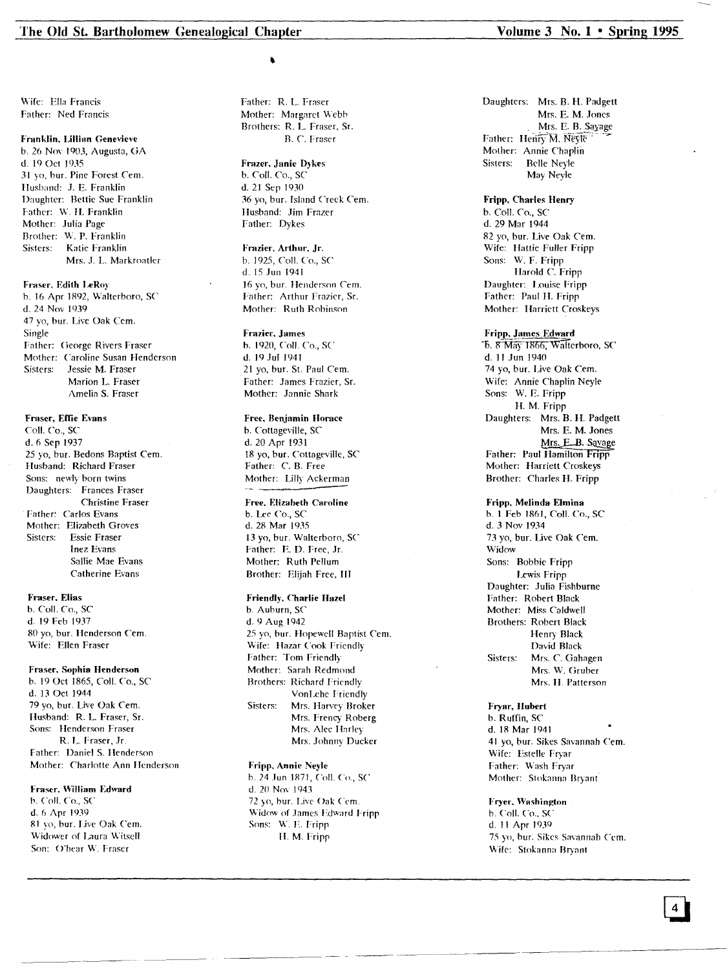Wife: Ella Francis Father: Ned Francis

### Franklin, Lillian Genevieve

b. 26 Nov 1903, Augusta, GA d. 19 Oct 1935 31 yo, bur. Pine Forest *Cern.* Husband: J. E. Franklin Daughter: Bettie Sue Franklin Father: W. H. Franklin Mother: Julia Page Brother: W. P. Franklin Sisters: Katie Franklin Mrs. J. L. Markroatler

### Fraser, Edith LeRo)'

h. 16 Apr IR92, Walterhoro, *SC* d. 24 Nov 1939 47 yo, bur. Live Oak Cern. Single Father: George Rivers Fraser Mother: Caroline Susan Henderson Sisters: Jessie M. Fraser Marion L. Fraser Amelia S. Fraser

### Fraser, Effie Evans

CoIL Co., *SC* d.6 Sep 1937 25 yo, bur. Bedons Baptist Cem. Husband: Richard Fraser Sons: newly born twins Daughters: Frances Fraser Christine Fraser Father: Carlos Evans Mother: Elizabeth Groves Sisters: Essie Fraser Inez Evans Sallie Mae Evans Catherine Evans

#### Fraser, Elias

b. Call. *Co.,* SC d. 19 Feb 1937 ROyo, bur. Henderson *Cern.* Wife: Ellen Fraser

### Fraser, Sophia Henderson

b. 19 Oct 1865, Call. Co., SC d. 13 Oct 1944 79 yo, bur. Live Oak Cern. Husband: R. L Fraser, Sr. Sons: Henderson Fraser R. L Fraser, Jr. Father: Daniel S. Henderson Mother: Charlotte Ann Hcnderson

#### Fraser, William Edward

b. Coll. Co., SC d. 6 Apr 1939 Rl yo, bur. Live Oak Cern. Widower of Laura Witsell Son: O'hear W. Fraser

Father: R. L Fraser Mother: Margaret Webb Brothers: R. L. Fraser, Sr. R. C. Fraser

### Frazer, Janie Dykes b. CoiL Co., SC d. 21 Sep 1930 36 yo, bur. Island Creek Cem. Hushand: Jim Frazer Father: Dykes

Frazier, Arthur, jr. h. 1925, CoIL Co., SC d. 15 Jun 1941 16 yo, bur. Henderson Cem. Father: Arthur Frazier, Sr. Mother: Ruth Robinson

#### Fmzier. james

b. 1920, CoIL Co., SC d. 19Jul 1941 21 yo, bur. St. Paul Cem. Father: James Frazier, Sr. Mother: Jannie Shark

### Free, Benjamin Horace

b. Cottageville, SC d. 20 Apr 1931 IR yo, bur. Cottageville, SC Father: C. B. Free Mother: Lilly Ackerman

## Free. Elizabeth Caroline

b. Lee Co., SC d. 2R Mar 1935 13 yo, bur. Walterboro, SC Father: E. D. Free, Jr. Mother: Ruth Pellum Brother: Elijah Free, III

#### Friendly, Charlie Hazel

b. Auburn, SC d. 9 Aug 1942 25 yo, bur. Hopewell Baptist Cern. Wife: Hazar Cook Friendly Father: Tom Friendly Mother: Sarah Redmond Brothers: Richard Friendly VonLehe Friendly Sisters: Mrs. Harvey Broker Mrs. Frency Roberg Mrs. Alec Harley Mrs. Johnny Ducker

### Fripp, Annie Neyle

---~ ~~------\_.~ -----~---- ------~~-------

b. 24 .Iun IR71, CoIL Co., *SC* d. 20 Nov 1943 72 yo, bur. Live Oak Cem. Widow of James Edward Fripp Sons: W. F. Fripp II. M. Fripp

Daughters: Mrs. B. H. Padgett Mrs. E. M. Jones Mrs. E. B. Sayage Father: Henry M. Neyle Mother: Annie Chaplin Sisters: Belle Neyle May Neyle

Fripp, Charles Henry b. Call. Co., *SC* d. 29 Mar 1944 82 yo, bur. Live Oak Cem. Wife: Hattie Fuller Fripp Sons: W. F. Fripp Harold C. Fripp Daughter: Louise Fripp Father: Paul II. Fripp Mother: Harriett Croskeys

Fripp, james Edward 5. 8 May 1866, Walterboro, SC d. II Jun 1940 74 yo, bur. Live Oak *Cern.* Wife: Annie Chaplin Neyle Sons: W. E. Fripp H. M. Fripp Daughters: Mrs. B. H. Padgett Mrs. E. M. Jones Mrs. E.B. Savage Father: Paul Hamilton Fripp Mother: Harriett Croskeys Brother: Charles H. Fripp

### Fripp, Melinda Elmina

b. 1 Feb IR61, Call. Co., SC d. 3 Nov 1934 73 yo, bur. Live Oak *Cern.* Widow Sons: Bobbie Fripp Lewis Fripp Daughter: Julia Fishburne Father: Robert Black Mother: Miss Caldwell Brothers: Robert Black Henry Black David Black Sisters: Mrs. C. Gahagen Mrs. W. Gruber Mrs. II. Patterson

### Fryar, Hubert b. Ruffin, SC d. IR Mar 1941

41 yo, bur. Sikes Savannah Cern. Wife: Estelle Fryar Father: Wash Fryar Mother: Stokanna Bryant

Fryer, Washington b. ColI. Co., SC d. 11 Apr 1939 75 yo, bur. Sikes Savannah Cem. Wife: Stokanna Bryant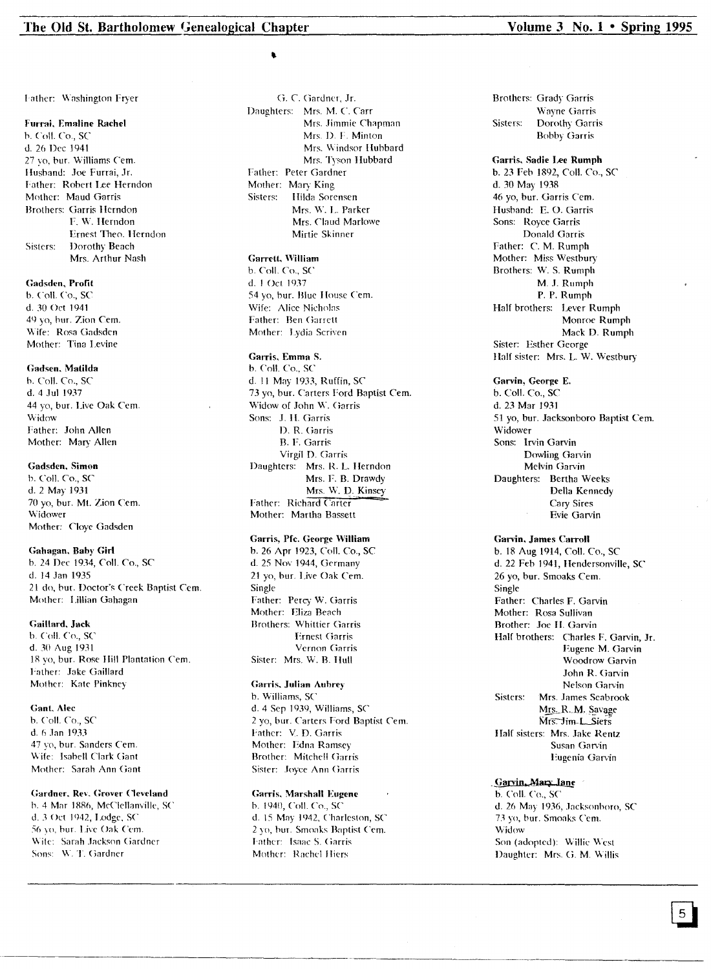#### Furrai. Ernaline Rachel

b. ColI. Co., SC d. 26 Dec ]941 27 yo, bur. Williams Cern. Ilusband: Joe Furrai, Jr. I-ather: Robert Lee Herndon Mother: Maud Garris Brothers: Garris Hcrndon F. W. Herndon Ernest Theo. Herndon Sisters: Dorothy Beach Mrs. Arthur Nash

### Gadsden. Profit

b. Coli. Co., SC d. 30 Oct 1941 49 yo, bur. Zion Cern. Wife: Rosa Gadsden Mother: Tina Levine

#### Gadsen. Malilda

b. Coll. Co., SC d. 4 Jul 1937 44 yo, bur. Live Oak Cem. Widow Father: John Allen Mother: Mary Allen

### Gadsden. Simon

b. Coil. Co., SC d. 2 May 1931 70 yo, bur. Mt. Zion Cem. Widower Mother: C10ye Gadsden

#### Gahagan. Bahy Girl

b. 24 Dee 1934, Coil. Co., SC d. 14 Jan 1935 21 do, but. Doctor's Creek Baptist Cem. Mother: Lillian Gahagan

#### Gaillard. Jack

b. Coil. Co., SC d. 30 Aug 1931 18 yo, bur. Rose Hill Plantation Cern. I'ather: Jake Gaillard Mother: Kate Pinkney

### Gant, Alec

b. Coil. Co., SC d. 6 Jan 1933 47 vo, bur. Sanders Cem. Wife: Isabell Clark Gant Mother: Sarah Ann Gant

### Gardner, Rev. Grover Cleveland

h. 4 Mar 18R6, MeClel\;lllyille, SC d. 3 Oct 1942, Lodge, SC 56 yo, bur. Live Oak Cem. Wile: Sarah Jackson Gardner Sons: W. T. Gardner

G. C. Gardner. Jr. Daughters: Mrs. M. C. Carr Mrs. Jimmie Chapman Mrs. D. F. Minton Mrs. Windsor Hubbard Mrs. Tyson Hubbard Father: Peter Gardner Mother: Mary King<br>Sisters: Hilda Sore Hilda Sorensen Mrs. W. L. Parker Mrs. Claud Marlowe Mirtie Skinner

### Garrett. William

b. CoIl. Co., SC d. I Oct 1937 54 yo, bur. Blue I louse Cem. Wife: Alice Nicholas Father: Ben Garrett Mother: Lydia Scriven

### Garris, Emma S.

b. Coll. Co., SC d. 11 May 1933, Ruffin, SC 73 yo, bur. Carters Ford Baptist Cem. Widow of John W. Garris Sons: J. H. Garris D. R. Garris B. F. Garris Virgil D. Garris Daughters: Mrs. R. L. Herndon Mrs. F. B. Drawdy Mrs. W. D. Kinsey Father: Richard Carter Mother: Martha Bassett

### Garris, prc. George William

b. 26 Apr 1923, Coil. Co., SC d. 25 Nov 1944, Germany 21 yo, bur. Live Oak Cern. Single Father: Percy W. Garris Mother: Eliza Beach Brothers: Whittier Garris Ernest Garris Vcrnon Garris Sister: Mrs. W. B. Hull

#### Garris. Julian Aubrey

b. Williams, SC d.4 Sep 1939, Williams, SC 2 yo, bur. Carters Ford Baptist Cern. Father: V. D. Garris Mother: Edna Ramsey Brother: Mitchell Ciarris Sister: Joyce Ann Garris

### Garris, Marshall Eugene

b. 1940, Coil. Co., SC d. 15 May 1942, ('harleston, SC 2 yo, hur. Smoaks Bnptist Cem. I'ather: Isaac S. Garris Mother: Rachel Iliers

Brothers: Grady Garris Wayne Garris Sisters: Dorothy Garris Bobby Garris

Garris. Sadie Lee Rumph b. 23 Feb ]892, Coil. Co., SC d. 30 May 1938 46 yo, bur. Garris Cem. Husband: E. O. Garris Sons: Royce Garris Donald Garris Father: C. M. Rumph Mother: Miss Westbury Brothers: W. S. Rumph M. J. Rumph P. P. Rumph Half brothers: Lever Rumph Monroe Rumph Mack D. Rumph Sister: Esther George Half sister: Mrs. L. W. Westbury

### Garvin. George E.

b. Coil. Co., SC d. 23 Mar 1931 5] yo, bur. Jacksonboro Baptist Cern. Widower Sons: Irvin Garvin Dowling Garvin Melvin Garvin Daughters: Bertha Weeks Della Kennedy Cary Sires Evie Garvin

### Garvin. James Carroll

b. 18 Aug 1914, Coil. Co., SC d. 22 Feb 1941, Hendersonville, SC 26 yo, bur. Smoaks Cern. Single Father: Charles F. Garvin Mother: Rosa Sullivan Brother: Joe II. Garvin Half brothers: Charles F. Garvin, Jr. Eugene M. Garvin Woodrow Garvin John R. Garvin Nelson Garvin Sisters: Mrs. James Seabrook w<u>its.</u> R. *m.* gava<br>Mrs. Jim-L. Siets Half sisters: Mrs. Jake Rentz Susan Garvin Eugenia Garvin

### Garvin, Mary Jane

b. Coil. Co., SC d. 26 May 1936, Jacksonboro, SC 73 yo, bur. Smoaks Cem. Widow Son (adopted): Willie West Daughter: Mrs. G. M. Willis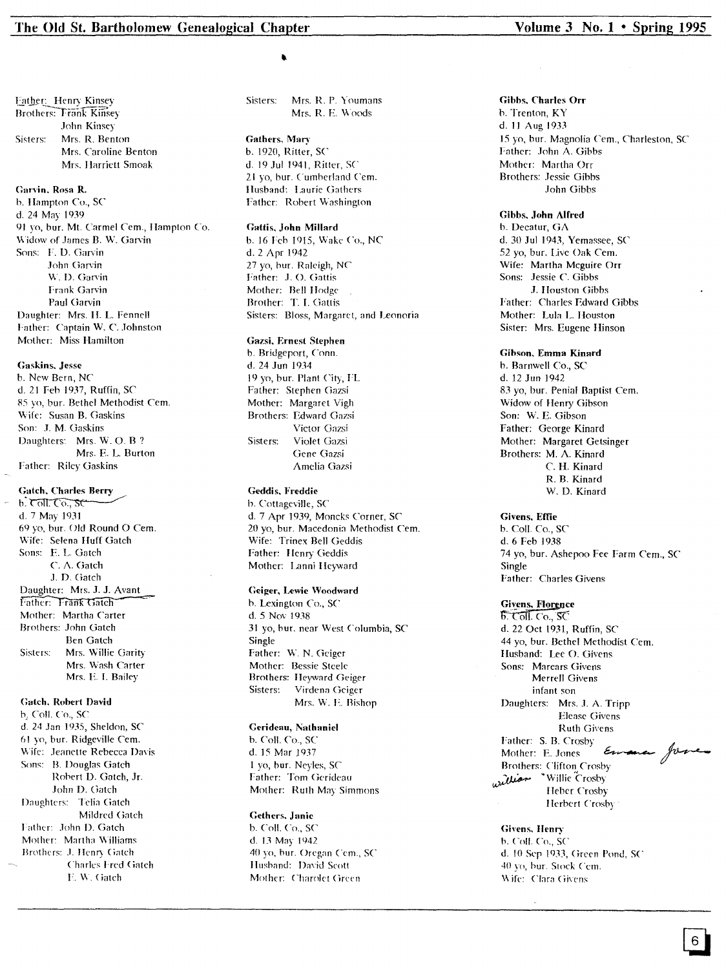### The Old St. Bartholomew Genealogical Chapter

Father: Henry Kinsey **Brothers: Trank Kinsey** John Kinsey Sisters: Mrs. R. Benton Mrs. Caroline Benton Mrs. Harriett Smoak

#### Garvin, Rosa R.

b. Hampton Co., SC d. 24 May 1939 91 vo, bur. Mt. Carmel Cem., Hampton Co. Widow of James B. W. Garvin Sons: F. D. Garvin John Garvin W. D. Garvin Frank Garvin Paul Garvin Daughter: Mrs. H. L. Fennell Father: Captain W. C. Johnston Mother: Miss Hamilton

### **Gaskins**, Jesse

b. New Bern, NC d. 21 Feb 1937, Ruffin, SC 85 vo, bur. Bethel Methodist Cem. Wife: Susan B. Gaskins Son: J. M. Gaskins Daughters: Mrs. W. O. B ? Mrs. E. L. Burton Father: Riley Gaskins

### **Gatch, Charles Berry**

 $b.$  Coll. Co.,  $\mathcal{SC}$ d. 7 May 1931 69 yo, bur. Old Round O Cem. Wife: Selena Huff Gatch Sons: E. L. Gatch C. A. Gatch J. D. Gatch Daughter: Mrs. J. J. Avant Father: Frank Gatch Mother: Martha Carter Brothers: John Gatch **Ben Gatch** Mrs. Willie Garity Sisters: Mrs. Wash Carter Mrs. E. I. Bailey

### **Gatch, Robert David**

b. Coll. Co., SC d. 24 Jan 1935, Sheldon, SC 61 yo, bur. Ridgeville Cem. Wife: Jeanette Rebecca Davis Sons: B. Douglas Gatch Robert D. Gatch, Jr. John D. Gatch Daughters: Telia Gatch Mildred Gatch Father: John D. Gatch Mother: Martha Williams Brothers: J. Henry Gatch Charles Fred Gatch E. W. Gatch

Sisters: Mrs. R. P. Youmans Mrs. R. E. Woods

Gathers, Mary b. 1920, Ritter, SC d. 19 Jul 1941, Ritter, SC 21 yo, bur. Cumberland Cem. Husband: Laurie Gathers Father: Robert Washington

#### Gattis, John Millard

b. 16 Feb 1915, Wake Co., NC d. 2 Apr 1942 27 yo, bur. Raleigh, NC Father: J. O. Gattis Mother: Bell Hodge Brother: T. I. Gattis Sisters: Bloss, Margaret, and Leonoria

#### Gazsi, Ernest Stephen

b. Bridgeport, Conn. d. 24 Jun 1934 19 yo, bur. Plant City, FL Father: Stephen Gazsi Mother: Margaret Vigh Brothers: Edward Gazsi Victor Gazsi Sisters: Violet Gazsi Gene Gazsi Amelia Gazsi

### Geddis, Freddie

b. Cottageville, SC d. 7 Apr 1939, Moncks Corner, SC 20 yo, bur. Macedonia Methodist Cem. Wife: Trinex Bell Geddis Father: Henry Geddis Mother: Lanni Heyward

### Geiger, Lewie Woodward

b. Lexington Co., SC d. 5 Nov 1938 31 yo, bur. near West Columbia, SC Single Father: W. N. Geiger Mother: Bessie Steele Brothers: Heyward Geiger Sisters: Virdena Geiger Mrs. W. E. Bishop

### Gerideau, Nathaniel

b. Coll. Co., SC d. 15 Mar 1937 1 yo, bur. Neyles, SC Father: Tom Gerideau Mother: Ruth May Simmons

### Gethers, Janie

b. Coll. Co., SC d. 13 May 1942 40 yo, bur. Oregan Cem., SC Husband: David Scott Mother: Charolet Green

### Volume  $3$  No.  $1 \cdot$  Spring 1995

### Gibbs, Charles Orr

b. Trenton, KY d. 11 Aug 1933 15 yo, bur. Magnolia Cem., Charleston, SC Father: John A. Gibbs Mother: Martha Orr **Brothers: Jessie Gibbs** John Gibbs

### Gibbs, John Alfred

b. Decatur, GA d. 30 Jul 1943, Yemassee, SC 52 vo, bur. Live Oak Cem. Wife: Martha Mcguire Orr Sons: Jessie C. Gibbs J. Houston Gibbs Father: Charles Edward Gibbs Mother: Lula L. Houston Sister: Mrs. Eugene Hinson

Gibson, Emma Kinard b. Barnwell Co., SC d. 12 Jun 1942 83 yo, bur. Penial Baptist Cem. Widow of Henry Gibson Son: W. E. Gibson Father: George Kinard Mother: Margaret Getsinger Brothers: M. A. Kinard C. H. Kinard R. B. Kinard W. D. Kinard

#### **Givens, Effie**

b. Coll. Co., SC d. 6 Feb 1938 74 yo, bur. Ashepoo Fee Farm Cem., SC Single Father: Charles Givens

### **Givens, Florence**

 $\overline{b}$ . Coll. Co., SC d. 22 Oct 1931, Ruffin, SC 44 yo, bur. Bethel Methodist Cem. Husband: Lee O. Givens Sons: Marcars Givens Merrell Givens infant son Daughters: Mrs. J. A. Tripp Elease Givens **Ruth Givens** Father: S. B. Crosby Envance Jone Mother: E. Jones **Brothers: Clifton Crosby** willie Crosby Heber Crosby Herbert Crosby

### **Givens, Henry**

b. Coll. Co., SC d. 10 Sep 1933, Green Pond, SC 40 yo, bur. Stock Cem. Wife: Clara Givens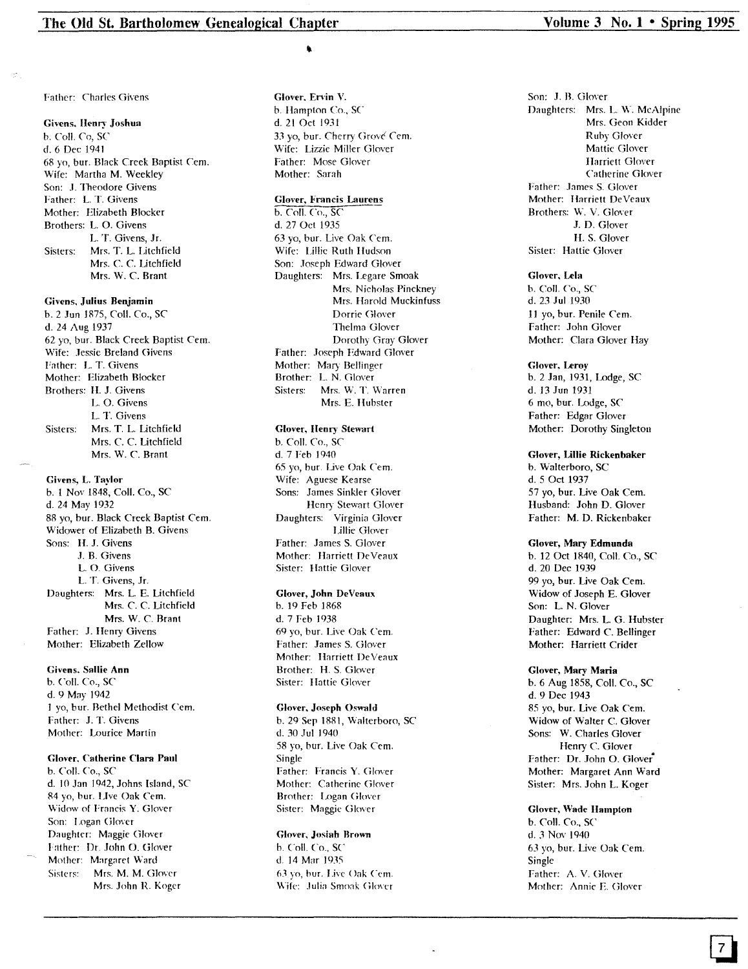I'ather: Charles Givens

#### Givens. Henry' Joshua

b. ColI. Co, SC d.6 Dec 1941 68 yo, bur. Black Creek Baptist Cern. Wife: Martha M. Weekley Son: J. Theodore Givens Father: L. T. Givens Mother: Elizabeth Blocker Brothers: L. O. Givens L. T. Givens, Jr. Sisters: Mrs. T. L. Litchfield Mrs. C. C. Litchfield Mrs. W. C. Brant

#### Givens, Julius Benjamin

b. 2 Jun 1875, Coli. Co., SC d. 24 Aug 1937 62 yo, bur. Black Creek Baptist Cern. Wife: Jessie Breland Givens Father: L. T. Givens Mother: Elizabeth Blocker Brothers: H. J. Givens L. O. Givcns L. T. Givens Sisters: Mrs. T. L. Litchfield Mrs. C. C. Litchfield Mrs. W. C. Brant

Givens, L. Taylor

b. 1 Nov 1848, Coli. Co., SC d. 24 May 1932 88 yo, bur. Black Creek Baptist Cern. Widower of Elizabeth B. Givens Sons: H. J. Givens J. B. Givens L. O. Givens L. T. Givens, Jr. Daughters: Mrs. L. E. Litchfield Mrs. C. C. Litchfield Mrs. W. C. Brant Father: J. Henry Givens Mother: Elizabeth Zellow

Givens, Sallie Ann

b. CoIl. Co., SC d. 9 May 1942 1 yo, bur. Bethel Methodist Cern. Father: J. T. Givens Mother: Lourice Martin

### Glover, Catherine Clara Paul

b. Coli. Co., SC d. 10 Jan 1942, Johns Island, SC 84 yo, bur. LIve Oak Cern. \Vidow of Francis Y. Glover Son: I.ogan Glover Daughter: Maggie Glover !'ather: Dr. John O. Glover Mother: Margaret Ward Sisters: Mrs. M. M. Glover Mrs. John R. Koger

Glover, Ervin V.

b. Hampton Co., SC d. 21 Oct 1931 33 yo, bur. Cherry Grové Cem. Wife: Lizzie Miller Glover Father: Mose Glover Mother: Sarah

### Glover, Francis Laurens

b. Coli. Co., SC d. 27 Oct 1935 63 yo, bur. Live Oak Cem. Wife: Lillie Ruth Hudson Son: Joseph Edward Glover Daughters: Mrs. Legare Smoak Mrs. Nicholas Pinckney Mrs. Harold Muckinfuss Dorrie Glover Thelma Glover Dorothy Gray Glover Father: Joseph Edward Glover Mother: Mary Bellinger Brother: L. N. Glover Sisters: Mrs. W. T. Warren Mrs. E. Hubster

#### Glover, lIenry Stewart

b. CoIl. *Co.,* SC d. 7 Feb 1940 65 yo, bur. Live Oak Cern. Wife: Aguese Kearse Sons: James Sinkler Glover Henry Stewart Glover<br>Daughters: Virginia Glover Virginia Glover Lillie Glover Father: James S. Glover Mother: Harriett DeVeaux Sister: Hattie Glover

#### Glover, John DeVeaux

b. 19 Feb 1868 d. 7 Feb 1938 69 yo, bur. Live Oak Cern. Father: James S. Glover Mother: Harriett DeVeaux Brother: H. S. Glover Sister: Hattie Glover

### Glover, Joseph Oswald

b. 29 Sep 1881, Walterboro, SC d. 30 Jul 1940 58 yo, bur. Live Oak Cem. Single Father: Francis Y. Glover Mother: Catherine Glover Brother: Logan Glover Sister: Maggie Glover

### Glover. Josiab Brown

b. Coil. *Co..* SC d. 14 Mar 19.15 63 yo, bur. I.ive Oak Cern. Wife: Julia Smoak Glover

Son: J. B. Glover Daughters: Mrs. L. W. McAlpine Mrs. Geon Kidder Ruby Glover Mattie Glover Harriett Glover Catherine Glover Father: James S. Glover Mother: Harriett DeVeaux Brothers: W. V. Glover J. D. Glover H. S. Glover Sister: Hattie Glover

#### Glover, Lela

b. Call. Co., SC d. 23 Jul 1930 11 yo, bur. Penile Cern. Father: John Glover Mother: Clara Glover Hay

#### Glover, Leroy

b. 2 Jan, 1931, Lodge, SC d. 13 Jun 1931 6 mo, bur. Lodge, SC Father: Edgar Glover Mother: Dorothy Singleton

#### Glover, Ullie Rickenbaker

b. Walterboro, SC d. 5 Oct 1937 57 yo, bur. Live Oak Cern. Husband: John D. Glover Father: M. D. Rickenbaker

#### Glover, Mary Edmunda

b. 12 Oct 1840, Coli. Co., SC d. 20 Dec 1939 99 yo, bur. Live Oak Cem. Widow of Joseph E. Glover Son: L. N. Glover Daughter: Mrs. L. G. Hubster Father: Edward C. Bellinger Mother: Harriett Crider

### Glover, Mary Maria

b. 6 Aug 1858, Coli. Co., SC d. 9 Dee 1943 85 yo, bur. Live Oak Cern. Widow of Walter C. Glover Sons: W. Charles Glover Henry C. Glover Father: Dr. John O. Glover" Mother: Margaret Ann Ward Sister: Mrs. John L. Koger

### Glover, Wade Hampton

b. CoIl. Co., SC d. 3 Nov ]940 63 yo, bur. Live Oak Cern. Single rather: A. V. Glover Mother: Annie E. Glover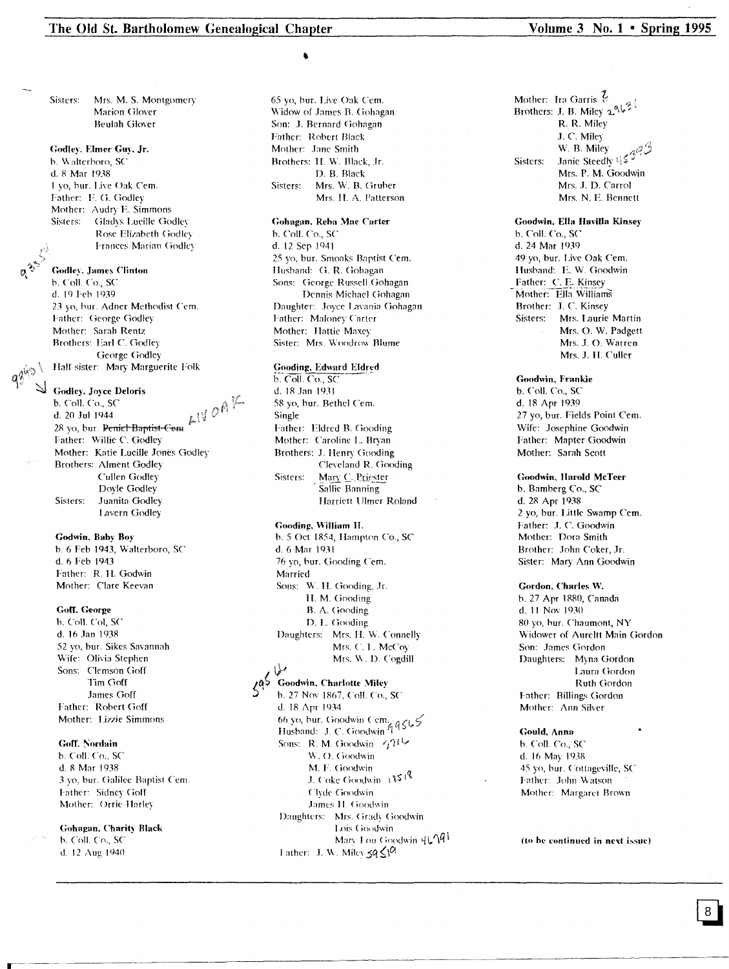### The Old St. Bartholomew Genealogical Chapter

Sisters: Mrs. M. S. Montgomery Marion Glover **Beulah Glover** 

### Godley, Elmer Guy, Jr.

b. Walterboro, SC d. 8 Mar 1938 1 vo. bur. Live Oak Cem. Father: E. G. Godley Mother: Audry E. Simmons Sisters: Gladys Lucille Godley Rose Elizabeth Godley Frances Marian Godley

### **Godley**, James Clinton

b. Coll. Co., SC d. 19 Feb 1939 23 yo, bur. Adner Methodist Cem. Father: George Godley Mother: Sarah Rentz Brothers: Earl C. Godley George Godley Half sister: Mary Marguerite Folk

#### Godley, Joyce Deloris

28 yo, but. Peniet-Baptist-Cem  $k$   $\mathbb{N}$   $\mathcal{O}$   $\mathbb{R}$   $\mathbb{R}$ <br>28 yo, but. Peniet-Baptist-Cem  $k$   $\mathbb{N}$   $\mathcal{O}$   $\mathbb{R}$   $\mathbb{R}$ <br>Me2) Mother: Katie Lucille Jones Godley **Brothers: Alment Godley** Cullen Godley Dovle Godley Sisters: Juanita Godley Lavern Godley

### Godwin, Baby Boy

b. 6 Feb 1943, Walterboro, SC d. 6 Feb 1943 Father: R. H. Godwin Mother: Clare Keevan

#### Goff. George

b. Coll. Col, SC d. 16 Jan 1938 52 yo, bur. Sikes Savannah Wife: Olivia Stephen Sons: Clemson Goff Tim Goff James Goff Father: Robert Goff Mother: Lizzie Simmons

### Goff. Nordain

b. Coll. Co., SC d. 8 Mar 1938 3 yo, bur. Galilee Baptist Cem. Father: Sidney Goff Mother: Orrie Harley

### **Gohagan**, Charity Black

b. Coll. Co., SC d. 12 Aug 1940

65 yo, bur. Live Oak Cem. Widow of James B. Gohagan Son: J. Bernard Gohagan Father: Robert Black Mother: Jane Smith Brothers: H. W. Black, Jr. D. B. Black Sisters: Mrs. W. B. Gruber Mrs. H. A. Patterson

### Gohagan, Reba Mae Carter b. Coll. Co., SC d. 12 Sep 1941 25 yo, bur. Smoaks Baptist Cem. Husband: G. R. Gohagan Sons: George Russell Gohagan Dennis Michael Gohagan Daughter: Joyce Lavania Gohagan

Father: Maloney Carter Mother: Hattie Maxey Sister: Mrs. Woodrow Blume

#### Gooding, Edward Eldred

b. Coll. Co., SC d. 18 Jan 1931 58 yo, bur. Bethel Cem. Single Father: Eldred B. Gooding Mother: Caroline L. Bryan Brothers: J. Henry Gooding Cleveland R. Gooding Mary C. Priester Sisters: Sallie Banning Harriett Ulmer Roland

### Gooding, William H.

b. 5 Oct 1854, Hampton Co., SC d. 6 Mar 1931 76 yo, bur. Gooding Cem. Married Sons: W. H. Gooding, Jr. H. M. Gooding B. A. Gooding D. L. Gooding Daughters: Mrs. H. W. Connelly Mrs. C. L. McCoy Mrs. W. D. Cogdill

### مبليا

Goodwin, Charlotte Miley b. 27 Nov 1867, Coll. Co., SC d. 18 Apr 1934 66 yo, bur. Goodwin Cem.<br>Husband: J. C. Goodwin 99565 Sons: R. M. Goodwin 471 W. O. Goodwin M. F. Goodwin J. Coke Goodwin 18519 Clyde Goodwin James H. Goodwin Daughters: Mrs. Grady Goodwin Lois Goodwin Mary Lou Goodwin 4L/Q Father: J. W. Milev  $\leq q \leq \sqrt{N}$ 

### Volume 3 No.  $1 \cdot$  Spring 1995

Mother: Ira Garris  $\frac{7}{16}$ Brothers: J. B. Miley 2963 R. R. Miley J. C. Miley W. B. Miley Janie Steedly 4539 Sisters: Mrs. P. M. Goodwin Mrs. J. D. Carrol Mrs. N. E. Bennett

Goodwin, Ella Havilla Kinsey b. Coll. Co., SC d. 24 Mar 1939 49 yo, bur. Live Oak Cem. Husband: E.W. Goodwin Father: C. E. Kinsey Mother: Ella Williams Brother: J. C. Kinsey Sisters: Mrs. Laurie Martin Mrs. O. W. Padgett Mrs. J. O. Warren Mrs. J. H. Culler

### Goodwin, Frankie

b. Coll. Co., SC d. 18 Apr 1939 27 yo, bur. Fields Point Cem. Wife: Josephine Goodwin Father: Mapter Goodwin Mother: Sarah Scott

### Goodwin, Harold McTeer

b. Bamberg Co., SC d. 28 Apr 1938 2 yo, bur. Little Swamp Cem. Father: J. C. Goodwin Mother: Dora Smith Brother: John Coker, Jr. Sister: Mary Ann Goodwin

#### Gordon, Charles W.

b. 27 Apr 1880, Canada d. 11 Nov 1930 80 yo, bur. Chaumont, NY Widower of Aureltt Main Gordon Son: James Gordon Daughters: Myna Gordon Laura Gordon Ruth Gordon Father: Billings Gordon Mother: Ann Silver

#### Gould, Anna

b. Coll. Co., SC d. 16 May 1938 45 yo, bur. Cottageville, SC Father: John Watson Mother: Margaret Brown

(to be continued in next issue)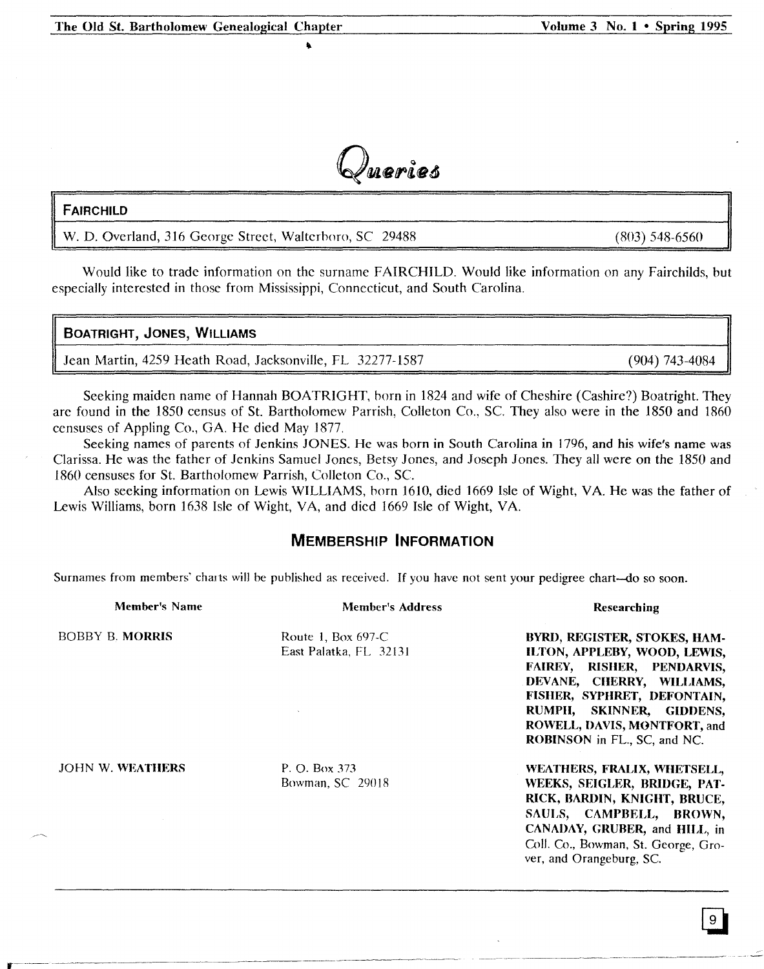

•

### FAIRCHILD

W. D. Overland, 316 George Street, Walterboro, SC 29488

Would like to trade information on the surname FAIRCHILD. Would like information on any Fairchilds, but especially interested in those from Mississippi, Connecticut, and South Carolina.

### BOATRIGHT, JONES, WILLIAMS

Jean Martin, 4259 Heath Road, Jacksonville, FL 32277-1587 (904) 743-4084

Seeking maiden name of Hannah BOATRIGHT, born in 1824 and wife of Cheshire (Cashire?) Boatright. They are found in the 1850 census of St. Bartholomew Parrish, Colleton Co., Sc. They also were in the 1850 and 1860 censuses of Appling Co., GA. He died May 1877.

Seeking names of parents of Jenkins JONES. He was born in South Carolina in 1796, and his wife's name was Clarissa. He was the father of Jenkins Samuel Jones, Betsy Jones, and Joseph Jones. They all were on the 1850 and 1860 censuses for St. Bartholomew Parrish, Colleton Co., Sc.

Also seeking information on Lewis WILLIAMS, born 1610, died 1669 Isle of Wight, VA. He was the father of Lewis Williams, born 1638 Isle of Wight, VA, and dicd 1669 Isle of Wight, VA

### **MEMBERSHIP INFORMATION**

Surnames from members' charts will be published as received. If you have not sent your pedigree chart-do so soon.

| Member's Name           | <b>Member's Address</b>                      | Researching                                                                                                                                                                                                                                        |
|-------------------------|----------------------------------------------|----------------------------------------------------------------------------------------------------------------------------------------------------------------------------------------------------------------------------------------------------|
| <b>BOBBY B. MORRIS</b>  | Route 1, Box 697-C<br>East Palatka, FL 32131 | BYRD, REGISTER, STOKES, HAM-<br>ILTON, APPLEBY, WOOD, LEWIS,<br>FAIREY, RISHER, PENDARVIS,<br>DEVANE, CHERRY, WILLIAMS,<br>FISHER, SYPHRET, DEFONTAIN,<br>RUMPH, SKINNER, GIDDENS,<br>ROWELL, DAVIS, MONTFORT, and<br>ROBINSON in FL., SC, and NC. |
| <b>JOHN W. WEATHERS</b> | P. O. Box 373<br>Bowman, SC 29018            | WEATHERS, FRALIX, WHETSELL,<br>WEEKS, SEIGLER, BRIDGE, PAT-<br>RICK, BARDIN, KNIGHT, BRUCE,<br>SAULS, CAMPBELL, BROWN,<br>CANADAY, GRUBER, and HILL, in<br>Coll. Co., Bowman, St. George, Gro-<br>ver, and Orangeburg, SC.                         |

--~~--,---~,-----'-'-----~--

(803) 548-6560